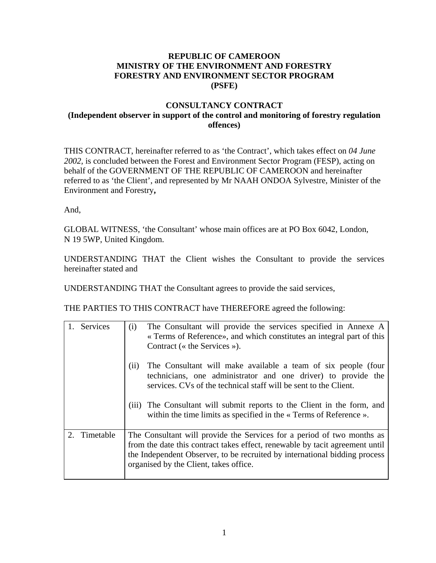## **REPUBLIC OF CAMEROON MINISTRY OF THE ENVIRONMENT AND FORESTRY FORESTRY AND ENVIRONMENT SECTOR PROGRAM (PSFE)**

## **CONSULTANCY CONTRACT (Independent observer in support of the control and monitoring of forestry regulation offences)**

THIS CONTRACT, hereinafter referred to as 'the Contract', which takes effect on *04 June 2002,* is concluded between the Forest and Environment Sector Program (FESP), acting on behalf of the GOVERNMENT OF THE REPUBLIC OF CAMEROON and hereinafter referred to as 'the Client', and represented by Mr NAAH ONDOA Sylvestre, Minister of the Environment and Forestry**,** 

And,

GLOBAL WITNESS, 'the Consultant' whose main offices are at PO Box 6042, London, N 19 5WP, United Kingdom.

UNDERSTANDING THAT the Client wishes the Consultant to provide the services hereinafter stated and

UNDERSTANDING THAT the Consultant agrees to provide the said services,

THE PARTIES TO THIS CONTRACT have THEREFORE agreed the following:

|               | Services  | The Consultant will provide the services specified in Annexe A<br>(i)<br>« Terms of Reference», and which constitutes an integral part of this                                                            |  |
|---------------|-----------|-----------------------------------------------------------------------------------------------------------------------------------------------------------------------------------------------------------|--|
|               |           | Contract ( $\kappa$ the Services »).                                                                                                                                                                      |  |
|               |           | The Consultant will make available a team of six people (four<br>(i)<br>technicians, one administrator and one driver) to provide the<br>services. CVs of the technical staff will be sent to the Client. |  |
|               |           | (iii) The Consultant will submit reports to the Client in the form, and<br>within the time limits as specified in the « Terms of Reference ».                                                             |  |
| $\mathcal{D}$ | Timetable | The Consultant will provide the Services for a period of two months as                                                                                                                                    |  |
|               |           | from the date this contract takes effect, renewable by tacit agreement until                                                                                                                              |  |
|               |           | the Independent Observer, to be recruited by international bidding process<br>organised by the Client, takes office.                                                                                      |  |
|               |           |                                                                                                                                                                                                           |  |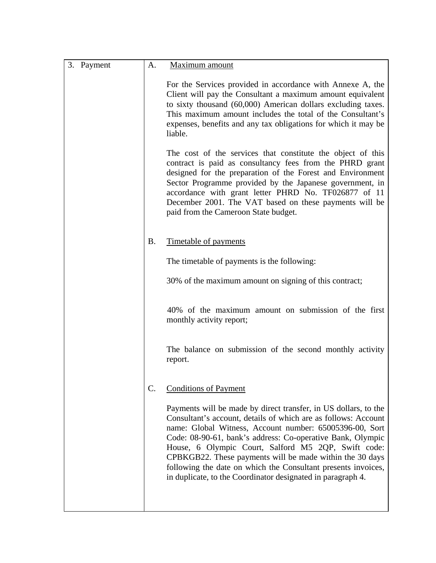| 3. Payment | A.        | Maximum amount                                                                                                                                                                                                                                                                                                                                                                                                                                                                                                |
|------------|-----------|---------------------------------------------------------------------------------------------------------------------------------------------------------------------------------------------------------------------------------------------------------------------------------------------------------------------------------------------------------------------------------------------------------------------------------------------------------------------------------------------------------------|
|            |           | For the Services provided in accordance with Annexe A, the<br>Client will pay the Consultant a maximum amount equivalent<br>to sixty thousand (60,000) American dollars excluding taxes.<br>This maximum amount includes the total of the Consultant's<br>expenses, benefits and any tax obligations for which it may be<br>liable.                                                                                                                                                                           |
|            |           | The cost of the services that constitute the object of this<br>contract is paid as consultancy fees from the PHRD grant<br>designed for the preparation of the Forest and Environment<br>Sector Programme provided by the Japanese government, in<br>accordance with grant letter PHRD No. TF026877 of 11<br>December 2001. The VAT based on these payments will be<br>paid from the Cameroon State budget.                                                                                                   |
|            | <b>B.</b> | Timetable of payments                                                                                                                                                                                                                                                                                                                                                                                                                                                                                         |
|            |           | The timetable of payments is the following:                                                                                                                                                                                                                                                                                                                                                                                                                                                                   |
|            |           | 30% of the maximum amount on signing of this contract;                                                                                                                                                                                                                                                                                                                                                                                                                                                        |
|            |           | 40% of the maximum amount on submission of the first<br>monthly activity report;                                                                                                                                                                                                                                                                                                                                                                                                                              |
|            |           | The balance on submission of the second monthly activity<br>report.                                                                                                                                                                                                                                                                                                                                                                                                                                           |
|            | C.        | <b>Conditions of Payment</b>                                                                                                                                                                                                                                                                                                                                                                                                                                                                                  |
|            |           | Payments will be made by direct transfer, in US dollars, to the<br>Consultant's account, details of which are as follows: Account<br>name: Global Witness, Account number: 65005396-00, Sort<br>Code: 08-90-61, bank's address: Co-operative Bank, Olympic<br>House, 6 Olympic Court, Salford M5 2QP, Swift code:<br>CPBKGB22. These payments will be made within the 30 days<br>following the date on which the Consultant presents invoices,<br>in duplicate, to the Coordinator designated in paragraph 4. |
|            |           |                                                                                                                                                                                                                                                                                                                                                                                                                                                                                                               |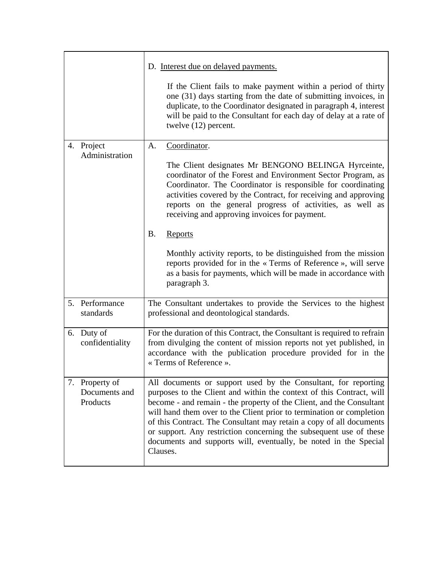|                                             | D. Interest due on delayed payments.                                                                                                                                                                                                                                                                                                                                                                                                                                                                                |  |
|---------------------------------------------|---------------------------------------------------------------------------------------------------------------------------------------------------------------------------------------------------------------------------------------------------------------------------------------------------------------------------------------------------------------------------------------------------------------------------------------------------------------------------------------------------------------------|--|
|                                             | If the Client fails to make payment within a period of thirty<br>one (31) days starting from the date of submitting invoices, in<br>duplicate, to the Coordinator designated in paragraph 4, interest<br>will be paid to the Consultant for each day of delay at a rate of<br>twelve (12) percent.                                                                                                                                                                                                                  |  |
| 4. Project<br>Administration                | A.<br>Coordinator.<br>The Client designates Mr BENGONO BELINGA Hyrceinte,<br>coordinator of the Forest and Environment Sector Program, as<br>Coordinator. The Coordinator is responsible for coordinating<br>activities covered by the Contract, for receiving and approving<br>reports on the general progress of activities, as well as<br>receiving and approving invoices for payment.                                                                                                                          |  |
|                                             | <b>B.</b><br>Reports<br>Monthly activity reports, to be distinguished from the mission<br>reports provided for in the « Terms of Reference », will serve<br>as a basis for payments, which will be made in accordance with<br>paragraph 3.                                                                                                                                                                                                                                                                          |  |
| 5. Performance<br>standards                 | The Consultant undertakes to provide the Services to the highest<br>professional and deontological standards.                                                                                                                                                                                                                                                                                                                                                                                                       |  |
| 6. Duty of<br>confidentiality               | For the duration of this Contract, the Consultant is required to refrain<br>from divulging the content of mission reports not yet published, in<br>accordance with the publication procedure provided for in the<br>« Terms of Reference ».                                                                                                                                                                                                                                                                         |  |
| 7. Property of<br>Documents and<br>Products | All documents or support used by the Consultant, for reporting<br>purposes to the Client and within the context of this Contract, will<br>become - and remain - the property of the Client, and the Consultant<br>will hand them over to the Client prior to termination or completion<br>of this Contract. The Consultant may retain a copy of all documents<br>or support. Any restriction concerning the subsequent use of these<br>documents and supports will, eventually, be noted in the Special<br>Clauses. |  |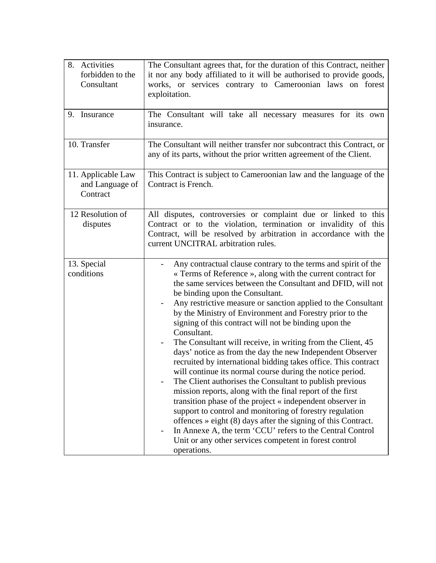| 8. Activities<br>forbidden to the<br>Consultant   | The Consultant agrees that, for the duration of this Contract, neither<br>it nor any body affiliated to it will be authorised to provide goods,<br>works, or services contrary to Cameroonian laws on forest<br>exploitation.                                                                                                                                                                                                                                                                                                                                                                                                                                                                                                                                                                                                                                                                                                                                                                                                                                                                                                                                                             |
|---------------------------------------------------|-------------------------------------------------------------------------------------------------------------------------------------------------------------------------------------------------------------------------------------------------------------------------------------------------------------------------------------------------------------------------------------------------------------------------------------------------------------------------------------------------------------------------------------------------------------------------------------------------------------------------------------------------------------------------------------------------------------------------------------------------------------------------------------------------------------------------------------------------------------------------------------------------------------------------------------------------------------------------------------------------------------------------------------------------------------------------------------------------------------------------------------------------------------------------------------------|
| 9. Insurance                                      | The Consultant will take all necessary measures for its own<br>insurance.                                                                                                                                                                                                                                                                                                                                                                                                                                                                                                                                                                                                                                                                                                                                                                                                                                                                                                                                                                                                                                                                                                                 |
| 10. Transfer                                      | The Consultant will neither transfer nor subcontract this Contract, or<br>any of its parts, without the prior written agreement of the Client.                                                                                                                                                                                                                                                                                                                                                                                                                                                                                                                                                                                                                                                                                                                                                                                                                                                                                                                                                                                                                                            |
| 11. Applicable Law<br>and Language of<br>Contract | This Contract is subject to Cameroonian law and the language of the<br>Contract is French.                                                                                                                                                                                                                                                                                                                                                                                                                                                                                                                                                                                                                                                                                                                                                                                                                                                                                                                                                                                                                                                                                                |
| 12 Resolution of<br>disputes                      | All disputes, controversies or complaint due or linked to this<br>Contract or to the violation, termination or invalidity of this<br>Contract, will be resolved by arbitration in accordance with the<br>current UNCITRAL arbitration rules.                                                                                                                                                                                                                                                                                                                                                                                                                                                                                                                                                                                                                                                                                                                                                                                                                                                                                                                                              |
| 13. Special<br>conditions                         | Any contractual clause contrary to the terms and spirit of the<br>« Terms of Reference », along with the current contract for<br>the same services between the Consultant and DFID, will not<br>be binding upon the Consultant.<br>Any restrictive measure or sanction applied to the Consultant<br>$\overline{\phantom{a}}$<br>by the Ministry of Environment and Forestry prior to the<br>signing of this contract will not be binding upon the<br>Consultant.<br>The Consultant will receive, in writing from the Client, 45<br>days' notice as from the day the new Independent Observer<br>recruited by international bidding takes office. This contract<br>will continue its normal course during the notice period.<br>The Client authorises the Consultant to publish previous<br>mission reports, along with the final report of the first<br>transition phase of the project « independent observer in<br>support to control and monitoring of forestry regulation<br>offences $\ast$ eight (8) days after the signing of this Contract.<br>In Annexe A, the term 'CCU' refers to the Central Control<br>Unit or any other services competent in forest control<br>operations. |